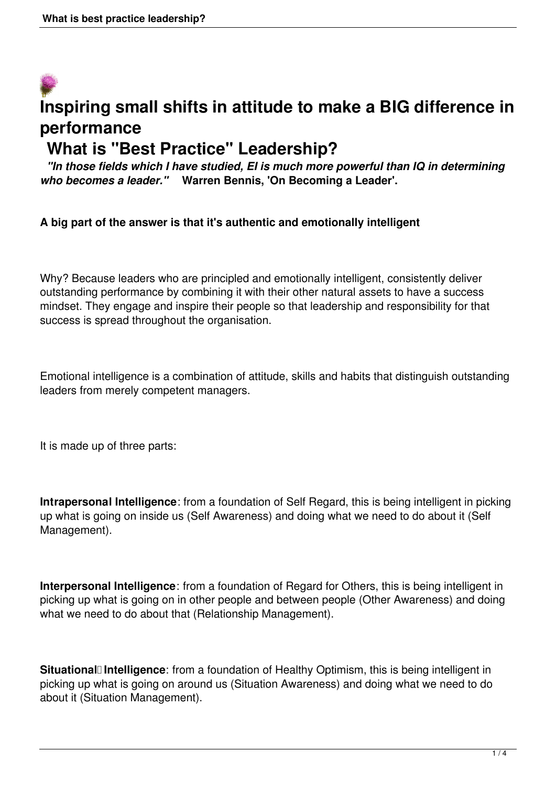# **Inspiring small shifts in attitude to make a BIG difference in performance What is "Best Practice" Leadership?**

 *"In those fields which I have studied, EI is much more powerful than IQ in determining who becomes a leader."* **Warren Bennis, 'On Becoming a Leader'.**

#### **A big part of the answer is that it's authentic and emotionally intelligent**

Why? Because leaders who are principled and emotionally intelligent, consistently deliver outstanding performance by combining it with their other natural assets to have a success mindset. They engage and inspire their people so that leadership and responsibility for that success is spread throughout the organisation.

Emotional intelligence is a combination of attitude, skills and habits that distinguish outstanding leaders from merely competent managers.

It is made up of three parts:

**Intrapersonal Intelligence**: from a foundation of Self Regard, this is being intelligent in picking up what is going on inside us (Self Awareness) and doing what we need to do about it (Self Management).

**Interpersonal Intelligence**: from a foundation of Regard for Others, this is being intelligent in picking up what is going on in other people and between people (Other Awareness) and doing what we need to do about that (Relationship Management).

Situational<sup>[</sup> Intelligence: from a foundation of Healthy Optimism, this is being intelligent in picking up what is going on around us (Situation Awareness) and doing what we need to do about it (Situation Management).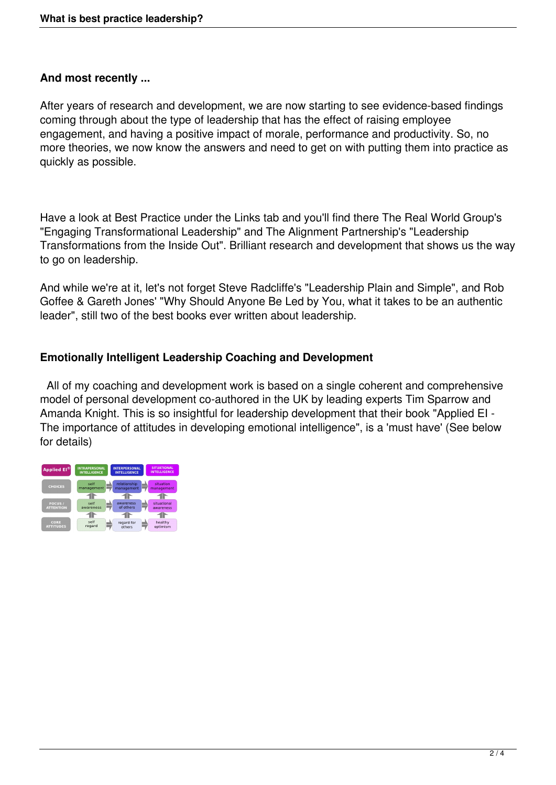#### **And most recently ...**

After years of research and development, we are now starting to see evidence-based findings coming through about the type of leadership that has the effect of raising employee engagement, and having a positive impact of morale, performance and productivity. So, no more theories, we now know the answers and need to get on with putting them into practice as quickly as possible.

Have a look at Best Practice under the Links tab and you'll find there The Real World Group's "Engaging Transformational Leadership" and The Alignment Partnership's "Leadership Transformations from the Inside Out". Brilliant research and development that shows us the way to go on leadership.

And while we're at it, let's not forget Steve Radcliffe's "Leadership Plain and Simple", and Rob Goffee & Gareth Jones' "Why Should Anyone Be Led by You, what it takes to be an authentic leader", still two of the best books ever written about leadership.

### **Emotionally Intelligent Leadership Coaching and Development**

 All of my coaching and development work is based on a single coherent and comprehensive model of personal development co-authored in the UK by leading experts Tim Sparrow and Amanda Knight. This is so insightful for leadership development that their book "Applied EI - The importance of attitudes in developing emotional intelligence", is a 'must have' (See below for details)

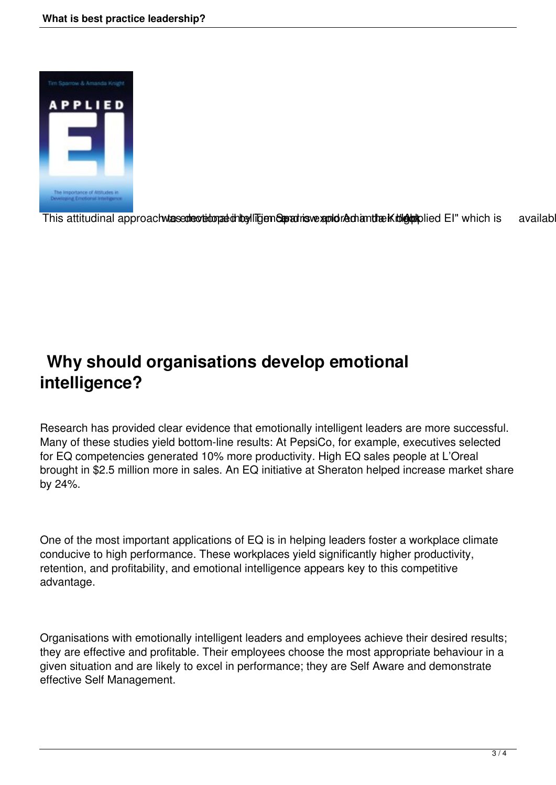

This attitudinal approach was edeveloped this differed providence and Amanda Knight and EI" which is available

## **Why should organisations develop emotional intelligence?**

Research has provided clear evidence that emotionally intelligent leaders are more successful. Many of these studies yield bottom-line results: At PepsiCo, for example, executives selected for EQ competencies generated 10% more productivity. High EQ sales people at L'Oreal brought in \$2.5 million more in sales. An EQ initiative at Sheraton helped increase market share by 24%.

One of the most important applications of EQ is in helping leaders foster a workplace climate conducive to high performance. These workplaces yield significantly higher productivity, retention, and profitability, and emotional intelligence appears key to this competitive advantage.

Organisations with emotionally intelligent leaders and employees achieve their desired results; they are effective and profitable. Their employees choose the most appropriate behaviour in a given situation and are likely to excel in performance; they are Self Aware and demonstrate effective Self Management.